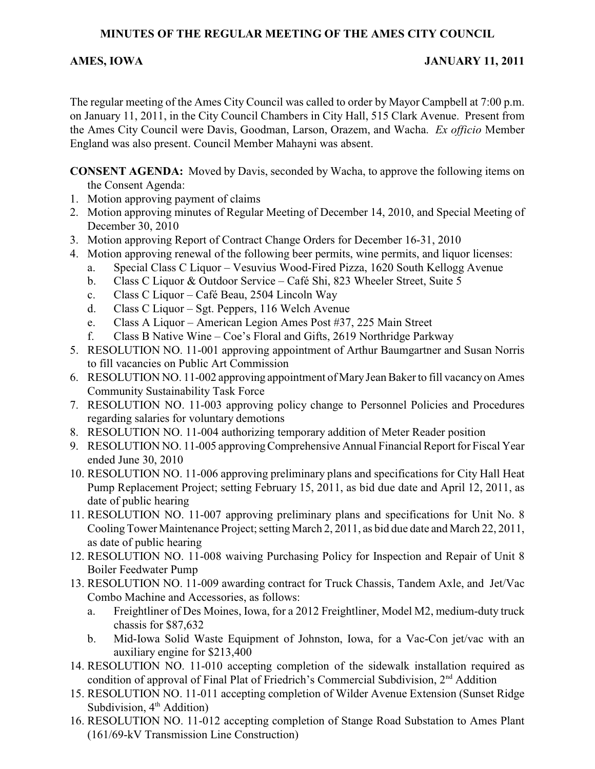#### **MINUTES OF THE REGULAR MEETING OF THE AMES CITY COUNCIL**

#### **AMES, IOWA JANUARY 11, 2011**

The regular meeting of the Ames City Council was called to order by Mayor Campbell at 7:00 p.m. on January 11, 2011, in the City Council Chambers in City Hall, 515 Clark Avenue. Present from the Ames City Council were Davis, Goodman, Larson, Orazem, and Wacha. *Ex officio* Member England was also present. Council Member Mahayni was absent.

**CONSENT AGENDA:** Moved by Davis, seconded by Wacha, to approve the following items on the Consent Agenda:

- 1. Motion approving payment of claims
- 2. Motion approving minutes of Regular Meeting of December 14, 2010, and Special Meeting of December 30, 2010
- 3. Motion approving Report of Contract Change Orders for December 16-31, 2010
- 4. Motion approving renewal of the following beer permits, wine permits, and liquor licenses:
	- a. Special Class C Liquor Vesuvius Wood-Fired Pizza, 1620 South Kellogg Avenue
	- b. Class C Liquor & Outdoor Service Café Shi, 823 Wheeler Street, Suite 5
	- c. Class C Liquor Café Beau, 2504 Lincoln Way
	- d. Class C Liquor Sgt. Peppers, 116 Welch Avenue
	- e. Class A Liquor American Legion Ames Post #37, 225 Main Street
	- f. Class B Native Wine Coe's Floral and Gifts, 2619 Northridge Parkway
- 5. RESOLUTION NO. 11-001 approving appointment of Arthur Baumgartner and Susan Norris to fill vacancies on Public Art Commission
- 6. RESOLUTION NO. 11-002 approving appointment of Mary Jean Baker to fill vacancy on Ames Community Sustainability Task Force
- 7. RESOLUTION NO. 11-003 approving policy change to Personnel Policies and Procedures regarding salaries for voluntary demotions
- 8. RESOLUTION NO. 11-004 authorizing temporary addition of Meter Reader position
- 9. RESOLUTION NO. 11-005 approving Comprehensive Annual Financial Report for Fiscal Year ended June 30, 2010
- 10. RESOLUTION NO. 11-006 approving preliminary plans and specifications for City Hall Heat Pump Replacement Project; setting February 15, 2011, as bid due date and April 12, 2011, as date of public hearing
- 11. RESOLUTION NO. 11-007 approving preliminary plans and specifications for Unit No. 8 Cooling Tower Maintenance Project; setting March 2, 2011, as bid due date and March 22, 2011, as date of public hearing
- 12. RESOLUTION NO. 11-008 waiving Purchasing Policy for Inspection and Repair of Unit 8 Boiler Feedwater Pump
- 13. RESOLUTION NO. 11-009 awarding contract for Truck Chassis, Tandem Axle, and Jet/Vac Combo Machine and Accessories, as follows:
	- a. Freightliner of Des Moines, Iowa, for a 2012 Freightliner, Model M2, medium-duty truck chassis for \$87,632
	- b. Mid-Iowa Solid Waste Equipment of Johnston, Iowa, for a Vac-Con jet/vac with an auxiliary engine for \$213,400
- 14. RESOLUTION NO. 11-010 accepting completion of the sidewalk installation required as condition of approval of Final Plat of Friedrich's Commercial Subdivision,  $2<sup>nd</sup>$  Addition
- 15. RESOLUTION NO. 11-011 accepting completion of Wilder Avenue Extension (Sunset Ridge Subdivision,  $4<sup>th</sup>$  Addition)
- 16. RESOLUTION NO. 11-012 accepting completion of Stange Road Substation to Ames Plant (161/69-kV Transmission Line Construction)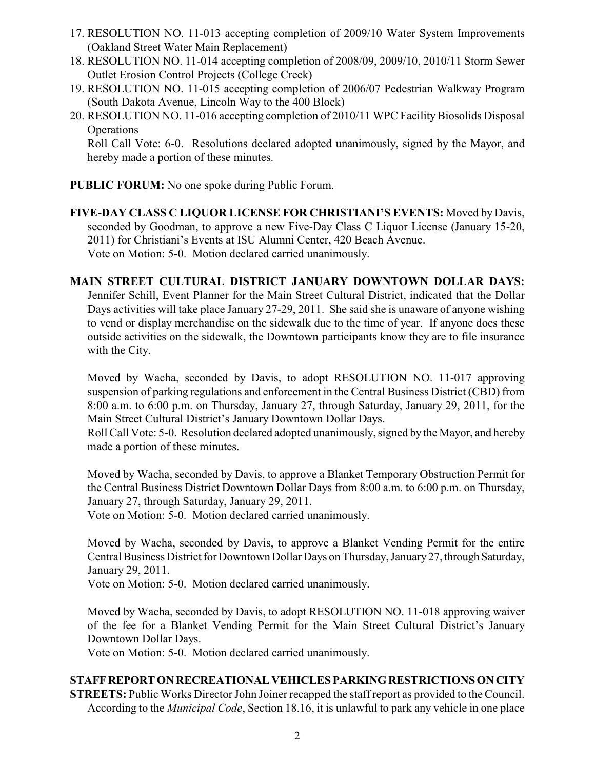- 17. RESOLUTION NO. 11-013 accepting completion of 2009/10 Water System Improvements (Oakland Street Water Main Replacement)
- 18. RESOLUTION NO. 11-014 accepting completion of 2008/09, 2009/10, 2010/11 Storm Sewer Outlet Erosion Control Projects (College Creek)
- 19. RESOLUTION NO. 11-015 accepting completion of 2006/07 Pedestrian Walkway Program (South Dakota Avenue, Lincoln Way to the 400 Block)
- 20. RESOLUTION NO. 11-016 accepting completion of 2010/11 WPC Facility Biosolids Disposal **Operations**

Roll Call Vote: 6-0. Resolutions declared adopted unanimously, signed by the Mayor, and hereby made a portion of these minutes.

**PUBLIC FORUM:** No one spoke during Public Forum.

**FIVE-DAY CLASS C LIQUOR LICENSE FOR CHRISTIANI'S EVENTS:** Moved by Davis, seconded by Goodman, to approve a new Five-Day Class C Liquor License (January 15-20, 2011) for Christiani's Events at ISU Alumni Center, 420 Beach Avenue. Vote on Motion: 5-0. Motion declared carried unanimously.

#### **MAIN STREET CULTURAL DISTRICT JANUARY DOWNTOWN DOLLAR DAYS:**

Jennifer Schill, Event Planner for the Main Street Cultural District, indicated that the Dollar Days activities will take place January 27-29, 2011. She said she is unaware of anyone wishing to vend or display merchandise on the sidewalk due to the time of year. If anyone does these outside activities on the sidewalk, the Downtown participants know they are to file insurance with the City.

Moved by Wacha, seconded by Davis, to adopt RESOLUTION NO. 11-017 approving suspension of parking regulations and enforcement in the Central Business District (CBD) from 8:00 a.m. to 6:00 p.m. on Thursday, January 27, through Saturday, January 29, 2011, for the Main Street Cultural District's January Downtown Dollar Days.

Roll Call Vote: 5-0. Resolution declared adopted unanimously, signed by the Mayor, and hereby made a portion of these minutes.

Moved by Wacha, seconded by Davis, to approve a Blanket Temporary Obstruction Permit for the Central Business District Downtown Dollar Days from 8:00 a.m. to 6:00 p.m. on Thursday, January 27, through Saturday, January 29, 2011.

Vote on Motion: 5-0. Motion declared carried unanimously.

Moved by Wacha, seconded by Davis, to approve a Blanket Vending Permit for the entire Central Business District for Downtown Dollar Days on Thursday, January 27, through Saturday, January 29, 2011.

Vote on Motion: 5-0. Motion declared carried unanimously.

Moved by Wacha, seconded by Davis, to adopt RESOLUTION NO. 11-018 approving waiver of the fee for a Blanket Vending Permit for the Main Street Cultural District's January Downtown Dollar Days.

Vote on Motion: 5-0. Motion declared carried unanimously.

### **STAFF REPORT ON RECREATIONAL VEHICLES PARKING RESTRICTIONS ON CITY**

**STREETS:** Public Works Director John Joiner recapped the staff report as provided to the Council. According to the *Municipal Code*, Section 18.16, it is unlawful to park any vehicle in one place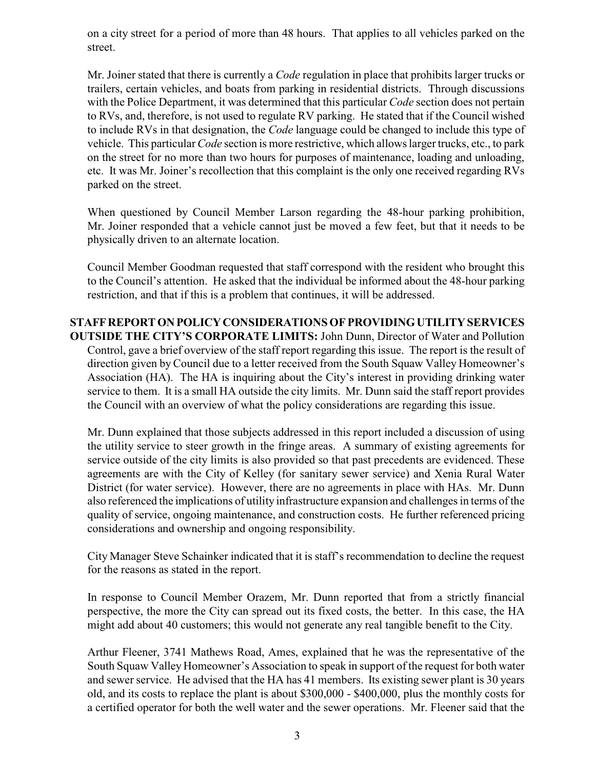on a city street for a period of more than 48 hours. That applies to all vehicles parked on the street.

Mr. Joiner stated that there is currently a *Code* regulation in place that prohibits larger trucks or trailers, certain vehicles, and boats from parking in residential districts. Through discussions with the Police Department, it was determined that this particular *Code* section does not pertain to RVs, and, therefore, is not used to regulate RV parking. He stated that if the Council wished to include RVs in that designation, the *Code* language could be changed to include this type of vehicle. This particular*Code* section is more restrictive, which allows larger trucks, etc., to park on the street for no more than two hours for purposes of maintenance, loading and unloading, etc. It was Mr. Joiner's recollection that this complaint is the only one received regarding RVs parked on the street.

When questioned by Council Member Larson regarding the 48-hour parking prohibition, Mr. Joiner responded that a vehicle cannot just be moved a few feet, but that it needs to be physically driven to an alternate location.

Council Member Goodman requested that staff correspond with the resident who brought this to the Council's attention. He asked that the individual be informed about the 48-hour parking restriction, and that if this is a problem that continues, it will be addressed.

**STAFF REPORT ON POLICY CONSIDERATIONS OF PROVIDING UTILITY SERVICES OUTSIDE THE CITY'S CORPORATE LIMITS:** John Dunn, Director of Water and Pollution Control, gave a brief overview of the staff report regarding this issue. The report is the result of direction given by Council due to a letter received from the South Squaw Valley Homeowner's Association (HA). The HA is inquiring about the City's interest in providing drinking water service to them. It is a small HA outside the city limits. Mr. Dunn said the staff report provides the Council with an overview of what the policy considerations are regarding this issue.

Mr. Dunn explained that those subjects addressed in this report included a discussion of using the utility service to steer growth in the fringe areas. A summary of existing agreements for service outside of the city limits is also provided so that past precedents are evidenced. These agreements are with the City of Kelley (for sanitary sewer service) and Xenia Rural Water District (for water service). However, there are no agreements in place with HAs. Mr. Dunn also referenced the implications of utility infrastructure expansion and challenges in terms of the quality of service, ongoing maintenance, and construction costs. He further referenced pricing considerations and ownership and ongoing responsibility.

City Manager Steve Schainker indicated that it is staff's recommendation to decline the request for the reasons as stated in the report.

In response to Council Member Orazem, Mr. Dunn reported that from a strictly financial perspective, the more the City can spread out its fixed costs, the better. In this case, the HA might add about 40 customers; this would not generate any real tangible benefit to the City.

Arthur Fleener, 3741 Mathews Road, Ames, explained that he was the representative of the South Squaw Valley Homeowner's Association to speak in support of the request for both water and sewer service. He advised that the HA has 41 members. Its existing sewer plant is 30 years old, and its costs to replace the plant is about \$300,000 - \$400,000, plus the monthly costs for a certified operator for both the well water and the sewer operations. Mr. Fleener said that the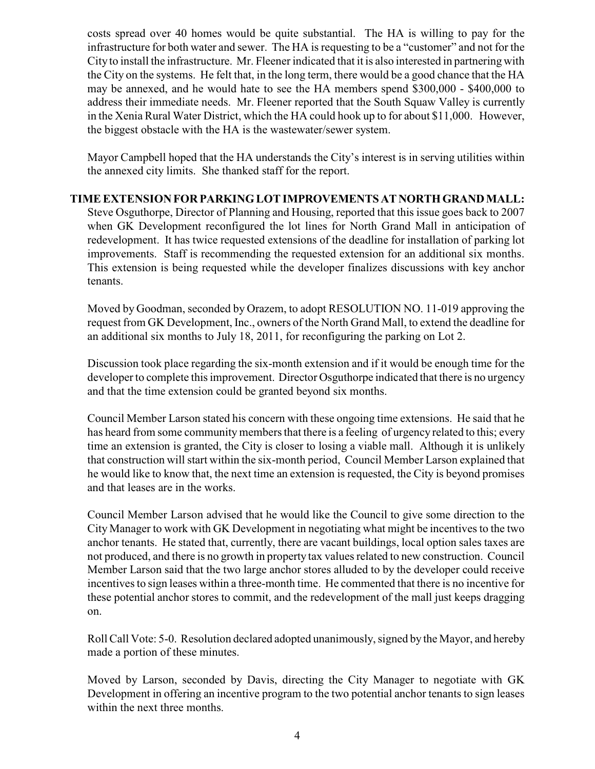costs spread over 40 homes would be quite substantial. The HA is willing to pay for the infrastructure for both water and sewer. The HA is requesting to be a "customer" and not for the City to install the infrastructure. Mr. Fleener indicated that it is also interested in partnering with the City on the systems. He felt that, in the long term, there would be a good chance that the HA may be annexed, and he would hate to see the HA members spend \$300,000 - \$400,000 to address their immediate needs. Mr. Fleener reported that the South Squaw Valley is currently in the Xenia Rural Water District, which the HA could hook up to for about \$11,000. However, the biggest obstacle with the HA is the wastewater/sewer system.

Mayor Campbell hoped that the HA understands the City's interest is in serving utilities within the annexed city limits. She thanked staff for the report.

#### **TIME EXTENSION FOR PARKING LOT IMPROVEMENTS AT NORTH GRAND MALL:**

Steve Osguthorpe, Director of Planning and Housing, reported that this issue goes back to 2007 when GK Development reconfigured the lot lines for North Grand Mall in anticipation of redevelopment. It has twice requested extensions of the deadline for installation of parking lot improvements. Staff is recommending the requested extension for an additional six months. This extension is being requested while the developer finalizes discussions with key anchor tenants.

Moved by Goodman, seconded by Orazem, to adopt RESOLUTION NO. 11-019 approving the request from GK Development, Inc., owners of the North Grand Mall, to extend the deadline for an additional six months to July 18, 2011, for reconfiguring the parking on Lot 2.

Discussion took place regarding the six-month extension and if it would be enough time for the developer to complete this improvement. Director Osguthorpe indicated that there is no urgency and that the time extension could be granted beyond six months.

Council Member Larson stated his concern with these ongoing time extensions. He said that he has heard from some community members that there is a feeling of urgency related to this; every time an extension is granted, the City is closer to losing a viable mall. Although it is unlikely that construction will start within the six-month period, Council Member Larson explained that he would like to know that, the next time an extension is requested, the City is beyond promises and that leases are in the works.

Council Member Larson advised that he would like the Council to give some direction to the City Manager to work with GK Development in negotiating what might be incentives to the two anchor tenants. He stated that, currently, there are vacant buildings, local option sales taxes are not produced, and there is no growth in property tax values related to new construction. Council Member Larson said that the two large anchor stores alluded to by the developer could receive incentives to sign leases within a three-month time. He commented that there is no incentive for these potential anchor stores to commit, and the redevelopment of the mall just keeps dragging on.

Roll Call Vote: 5-0. Resolution declared adopted unanimously, signed by the Mayor, and hereby made a portion of these minutes.

Moved by Larson, seconded by Davis, directing the City Manager to negotiate with GK Development in offering an incentive program to the two potential anchor tenants to sign leases within the next three months.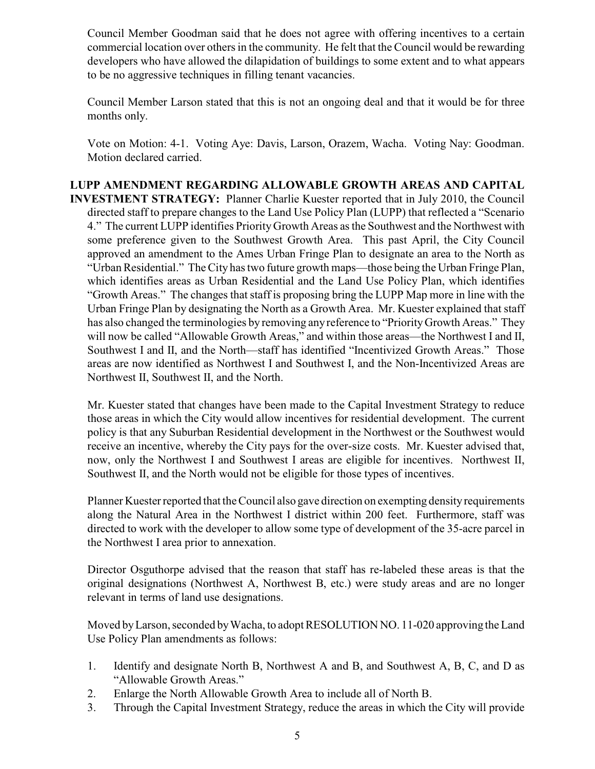Council Member Goodman said that he does not agree with offering incentives to a certain commercial location over others in the community. He felt that the Council would be rewarding developers who have allowed the dilapidation of buildings to some extent and to what appears to be no aggressive techniques in filling tenant vacancies.

Council Member Larson stated that this is not an ongoing deal and that it would be for three months only.

Vote on Motion: 4-1. Voting Aye: Davis, Larson, Orazem, Wacha. Voting Nay: Goodman. Motion declared carried.

**LUPP AMENDMENT REGARDING ALLOWABLE GROWTH AREAS AND CAPITAL INVESTMENT STRATEGY:** Planner Charlie Kuester reported that in July 2010, the Council directed staff to prepare changes to the Land Use Policy Plan (LUPP) that reflected a "Scenario 4." The current LUPP identifies PriorityGrowth Areas as the Southwest and the Northwest with some preference given to the Southwest Growth Area. This past April, the City Council approved an amendment to the Ames Urban Fringe Plan to designate an area to the North as "Urban Residential." The City has two future growth maps—those being the Urban Fringe Plan, which identifies areas as Urban Residential and the Land Use Policy Plan, which identifies "Growth Areas." The changes that staff is proposing bring the LUPP Map more in line with the Urban Fringe Plan by designating the North as a Growth Area. Mr. Kuester explained that staff has also changed the terminologies by removing any reference to "PriorityGrowth Areas." They will now be called "Allowable Growth Areas," and within those areas—the Northwest I and II, Southwest I and II, and the North—staff has identified "Incentivized Growth Areas." Those areas are now identified as Northwest I and Southwest I, and the Non-Incentivized Areas are Northwest II, Southwest II, and the North.

Mr. Kuester stated that changes have been made to the Capital Investment Strategy to reduce those areas in which the City would allow incentives for residential development. The current policy is that any Suburban Residential development in the Northwest or the Southwest would receive an incentive, whereby the City pays for the over-size costs. Mr. Kuester advised that, now, only the Northwest I and Southwest I areas are eligible for incentives. Northwest II, Southwest II, and the North would not be eligible for those types of incentives.

Planner Kuester reported that theCouncil also gave direction on exempting density requirements along the Natural Area in the Northwest I district within 200 feet. Furthermore, staff was directed to work with the developer to allow some type of development of the 35-acre parcel in the Northwest I area prior to annexation.

Director Osguthorpe advised that the reason that staff has re-labeled these areas is that the original designations (Northwest A, Northwest B, etc.) were study areas and are no longer relevant in terms of land use designations.

Moved byLarson, seconded by Wacha, to adopt RESOLUTION NO. 11-020 approving the Land Use Policy Plan amendments as follows:

- 1. Identify and designate North B, Northwest A and B, and Southwest A, B, C, and D as "Allowable Growth Areas."
- 2. Enlarge the North Allowable Growth Area to include all of North B.
- 3. Through the Capital Investment Strategy, reduce the areas in which the City will provide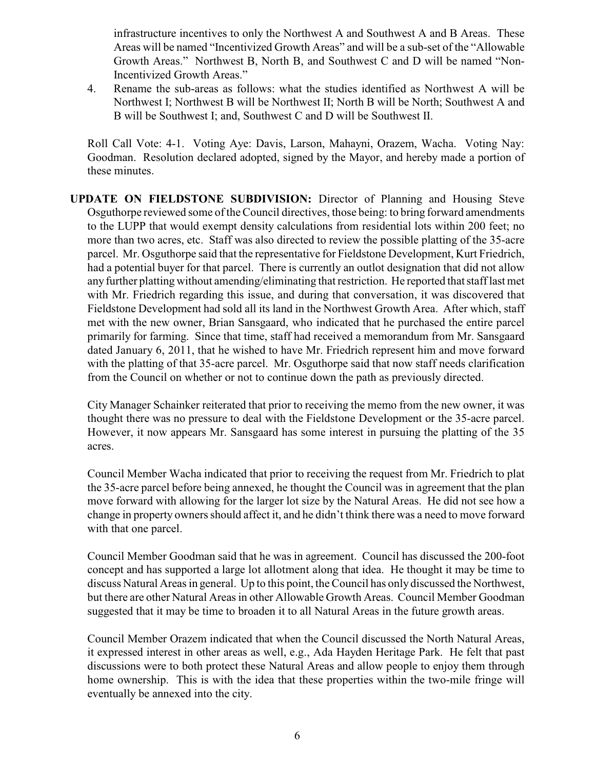infrastructure incentives to only the Northwest A and Southwest A and B Areas. These Areas will be named "Incentivized Growth Areas" and will be a sub-set of the "Allowable Growth Areas." Northwest B, North B, and Southwest C and D will be named "Non-Incentivized Growth Areas."

4. Rename the sub-areas as follows: what the studies identified as Northwest A will be Northwest I; Northwest B will be Northwest II; North B will be North; Southwest A and B will be Southwest I; and, Southwest C and D will be Southwest II.

Roll Call Vote: 4-1. Voting Aye: Davis, Larson, Mahayni, Orazem, Wacha. Voting Nay: Goodman. Resolution declared adopted, signed by the Mayor, and hereby made a portion of these minutes.

**UPDATE ON FIELDSTONE SUBDIVISION:** Director of Planning and Housing Steve Osguthorpe reviewed some of the Council directives, those being: to bring forward amendments to the LUPP that would exempt density calculations from residential lots within 200 feet; no more than two acres, etc. Staff was also directed to review the possible platting of the 35-acre parcel. Mr. Osguthorpe said that the representative for Fieldstone Development, Kurt Friedrich, had a potential buyer for that parcel. There is currently an outlot designation that did not allow any further platting without amending/eliminating that restriction. He reported that staff last met with Mr. Friedrich regarding this issue, and during that conversation, it was discovered that Fieldstone Development had sold all its land in the Northwest Growth Area. After which, staff met with the new owner, Brian Sansgaard, who indicated that he purchased the entire parcel primarily for farming. Since that time, staff had received a memorandum from Mr. Sansgaard dated January 6, 2011, that he wished to have Mr. Friedrich represent him and move forward with the platting of that 35-acre parcel. Mr. Osguthorpe said that now staff needs clarification from the Council on whether or not to continue down the path as previously directed.

City Manager Schainker reiterated that prior to receiving the memo from the new owner, it was thought there was no pressure to deal with the Fieldstone Development or the 35-acre parcel. However, it now appears Mr. Sansgaard has some interest in pursuing the platting of the 35 acres.

Council Member Wacha indicated that prior to receiving the request from Mr. Friedrich to plat the 35-acre parcel before being annexed, he thought the Council was in agreement that the plan move forward with allowing for the larger lot size by the Natural Areas. He did not see how a change in property owners should affect it, and he didn't think there was a need to move forward with that one parcel.

Council Member Goodman said that he was in agreement. Council has discussed the 200-foot concept and has supported a large lot allotment along that idea. He thought it may be time to discuss Natural Areas in general. Up to this point, theCouncil has only discussed the Northwest, but there are other Natural Areas in other Allowable Growth Areas. Council Member Goodman suggested that it may be time to broaden it to all Natural Areas in the future growth areas.

Council Member Orazem indicated that when the Council discussed the North Natural Areas, it expressed interest in other areas as well, e.g., Ada Hayden Heritage Park. He felt that past discussions were to both protect these Natural Areas and allow people to enjoy them through home ownership. This is with the idea that these properties within the two-mile fringe will eventually be annexed into the city.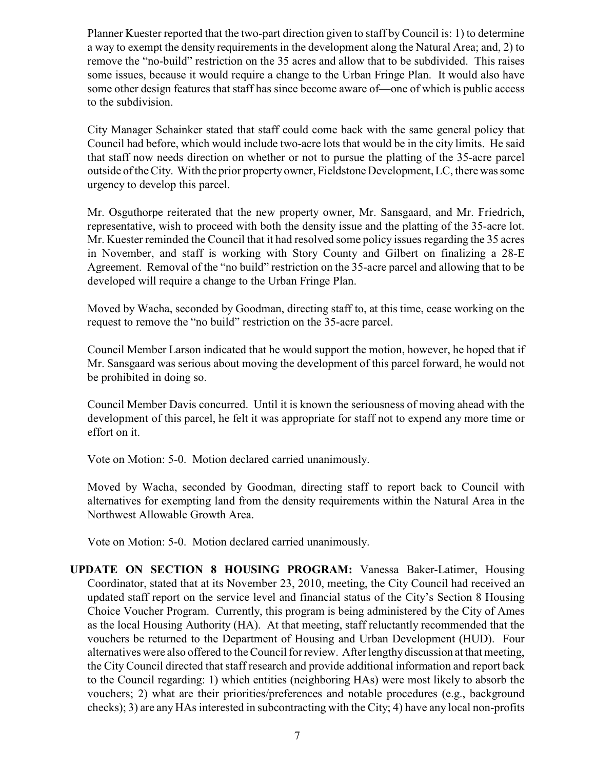Planner Kuester reported that the two-part direction given to staff byCouncil is: 1) to determine a way to exempt the density requirements in the development along the Natural Area; and, 2) to remove the "no-build" restriction on the 35 acres and allow that to be subdivided. This raises some issues, because it would require a change to the Urban Fringe Plan. It would also have some other design features that staff has since become aware of—one of which is public access to the subdivision.

City Manager Schainker stated that staff could come back with the same general policy that Council had before, which would include two-acre lots that would be in the city limits. He said that staff now needs direction on whether or not to pursue the platting of the 35-acre parcel outside of the City. With the prior property owner, Fieldstone Development, LC, there was some urgency to develop this parcel.

Mr. Osguthorpe reiterated that the new property owner, Mr. Sansgaard, and Mr. Friedrich, representative, wish to proceed with both the density issue and the platting of the 35-acre lot. Mr. Kuester reminded the Council that it had resolved some policy issues regarding the 35 acres in November, and staff is working with Story County and Gilbert on finalizing a 28-E Agreement. Removal of the "no build" restriction on the 35-acre parcel and allowing that to be developed will require a change to the Urban Fringe Plan.

Moved by Wacha, seconded by Goodman, directing staff to, at this time, cease working on the request to remove the "no build" restriction on the 35-acre parcel.

Council Member Larson indicated that he would support the motion, however, he hoped that if Mr. Sansgaard was serious about moving the development of this parcel forward, he would not be prohibited in doing so.

Council Member Davis concurred. Until it is known the seriousness of moving ahead with the development of this parcel, he felt it was appropriate for staff not to expend any more time or effort on it.

Vote on Motion: 5-0. Motion declared carried unanimously.

Moved by Wacha, seconded by Goodman, directing staff to report back to Council with alternatives for exempting land from the density requirements within the Natural Area in the Northwest Allowable Growth Area.

Vote on Motion: 5-0. Motion declared carried unanimously.

**UPDATE ON SECTION 8 HOUSING PROGRAM:** Vanessa Baker-Latimer, Housing Coordinator, stated that at its November 23, 2010, meeting, the City Council had received an updated staff report on the service level and financial status of the City's Section 8 Housing Choice Voucher Program. Currently, this program is being administered by the City of Ames as the local Housing Authority (HA). At that meeting, staff reluctantly recommended that the vouchers be returned to the Department of Housing and Urban Development (HUD). Four alternatives were also offered to the Council for review. After lengthy discussion at that meeting, the City Council directed that staff research and provide additional information and report back to the Council regarding: 1) which entities (neighboring HAs) were most likely to absorb the vouchers; 2) what are their priorities/preferences and notable procedures (e.g., background checks); 3) are any HAs interested in subcontracting with the City; 4) have any local non-profits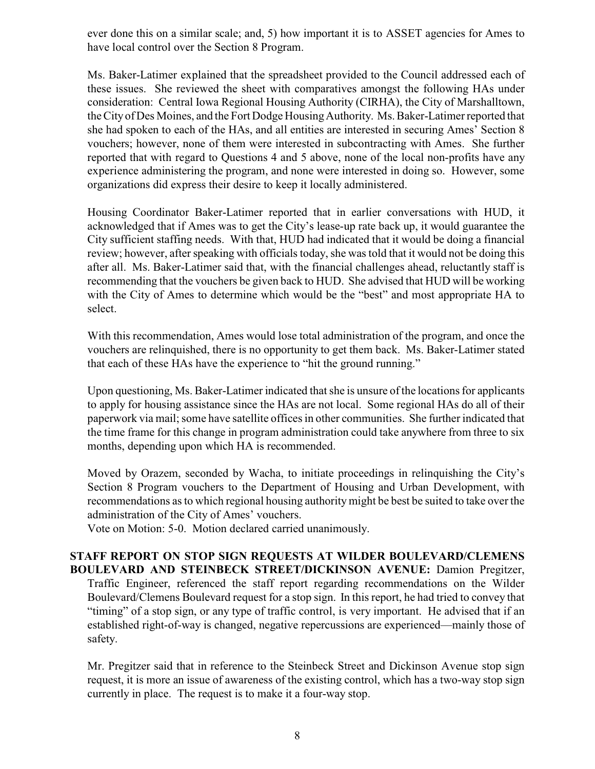ever done this on a similar scale; and, 5) how important it is to ASSET agencies for Ames to have local control over the Section 8 Program.

Ms. Baker-Latimer explained that the spreadsheet provided to the Council addressed each of these issues. She reviewed the sheet with comparatives amongst the following HAs under consideration: Central Iowa Regional Housing Authority (CIRHA), the City of Marshalltown, the City of Des Moines, and the Fort Dodge Housing Authority. Ms. Baker-Latimer reported that she had spoken to each of the HAs, and all entities are interested in securing Ames' Section 8 vouchers; however, none of them were interested in subcontracting with Ames. She further reported that with regard to Questions 4 and 5 above, none of the local non-profits have any experience administering the program, and none were interested in doing so. However, some organizations did express their desire to keep it locally administered.

Housing Coordinator Baker-Latimer reported that in earlier conversations with HUD, it acknowledged that if Ames was to get the City's lease-up rate back up, it would guarantee the City sufficient staffing needs. With that, HUD had indicated that it would be doing a financial review; however, after speaking with officials today, she was told that it would not be doing this after all. Ms. Baker-Latimer said that, with the financial challenges ahead, reluctantly staff is recommending that the vouchers be given back to HUD. She advised that HUD will be working with the City of Ames to determine which would be the "best" and most appropriate HA to select.

With this recommendation, Ames would lose total administration of the program, and once the vouchers are relinquished, there is no opportunity to get them back. Ms. Baker-Latimer stated that each of these HAs have the experience to "hit the ground running."

Upon questioning, Ms. Baker-Latimer indicated that she is unsure of the locations for applicants to apply for housing assistance since the HAs are not local. Some regional HAs do all of their paperwork via mail; some have satellite offices in other communities. She further indicated that the time frame for this change in program administration could take anywhere from three to six months, depending upon which HA is recommended.

Moved by Orazem, seconded by Wacha, to initiate proceedings in relinquishing the City's Section 8 Program vouchers to the Department of Housing and Urban Development, with recommendations as to which regional housing authority might be best be suited to take over the administration of the City of Ames' vouchers.

Vote on Motion: 5-0. Motion declared carried unanimously.

#### **STAFF REPORT ON STOP SIGN REQUESTS AT WILDER BOULEVARD/CLEMENS BOULEVARD AND STEINBECK STREET/DICKINSON AVENUE:** Damion Pregitzer, Traffic Engineer, referenced the staff report regarding recommendations on the Wilder Boulevard/Clemens Boulevard request for a stop sign. In this report, he had tried to convey that "timing" of a stop sign, or any type of traffic control, is very important. He advised that if an established right-of-way is changed, negative repercussions are experienced—mainly those of safety.

Mr. Pregitzer said that in reference to the Steinbeck Street and Dickinson Avenue stop sign request, it is more an issue of awareness of the existing control, which has a two-way stop sign currently in place. The request is to make it a four-way stop.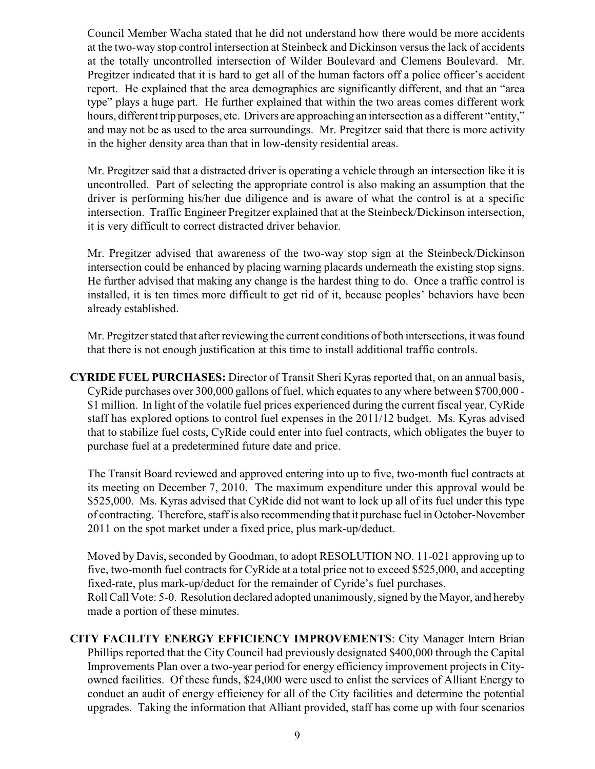Council Member Wacha stated that he did not understand how there would be more accidents at the two-way stop control intersection at Steinbeck and Dickinson versus the lack of accidents at the totally uncontrolled intersection of Wilder Boulevard and Clemens Boulevard. Mr. Pregitzer indicated that it is hard to get all of the human factors off a police officer's accident report. He explained that the area demographics are significantly different, and that an "area type" plays a huge part. He further explained that within the two areas comes different work hours, different trip purposes, etc. Drivers are approaching an intersection as a different "entity," and may not be as used to the area surroundings. Mr. Pregitzer said that there is more activity in the higher density area than that in low-density residential areas.

Mr. Pregitzer said that a distracted driver is operating a vehicle through an intersection like it is uncontrolled. Part of selecting the appropriate control is also making an assumption that the driver is performing his/her due diligence and is aware of what the control is at a specific intersection. Traffic Engineer Pregitzer explained that at the Steinbeck/Dickinson intersection, it is very difficult to correct distracted driver behavior.

Mr. Pregitzer advised that awareness of the two-way stop sign at the Steinbeck/Dickinson intersection could be enhanced by placing warning placards underneath the existing stop signs. He further advised that making any change is the hardest thing to do. Once a traffic control is installed, it is ten times more difficult to get rid of it, because peoples' behaviors have been already established.

Mr. Pregitzer stated that after reviewing the current conditions of both intersections, it was found that there is not enough justification at this time to install additional traffic controls.

**CYRIDE FUEL PURCHASES:** Director of Transit Sheri Kyras reported that, on an annual basis, CyRide purchases over 300,000 gallons of fuel, which equates to any where between \$700,000 - \$1 million. In light of the volatile fuel prices experienced during the current fiscal year, CyRide staff has explored options to control fuel expenses in the 2011/12 budget. Ms. Kyras advised that to stabilize fuel costs, CyRide could enter into fuel contracts, which obligates the buyer to purchase fuel at a predetermined future date and price.

The Transit Board reviewed and approved entering into up to five, two-month fuel contracts at its meeting on December 7, 2010. The maximum expenditure under this approval would be \$525,000. Ms. Kyras advised that CyRide did not want to lock up all of its fuel under this type of contracting. Therefore, staff is also recommending that it purchase fuel in October-November 2011 on the spot market under a fixed price, plus mark-up/deduct.

Moved by Davis, seconded by Goodman, to adopt RESOLUTION NO. 11-021 approving up to five, two-month fuel contracts for CyRide at a total price not to exceed \$525,000, and accepting fixed-rate, plus mark-up/deduct for the remainder of Cyride's fuel purchases. Roll Call Vote: 5-0. Resolution declared adopted unanimously, signed by the Mayor, and hereby made a portion of these minutes.

**CITY FACILITY ENERGY EFFICIENCY IMPROVEMENTS**: City Manager Intern Brian Phillips reported that the City Council had previously designated \$400,000 through the Capital Improvements Plan over a two-year period for energy efficiency improvement projects in Cityowned facilities. Of these funds, \$24,000 were used to enlist the services of Alliant Energy to conduct an audit of energy efficiency for all of the City facilities and determine the potential upgrades. Taking the information that Alliant provided, staff has come up with four scenarios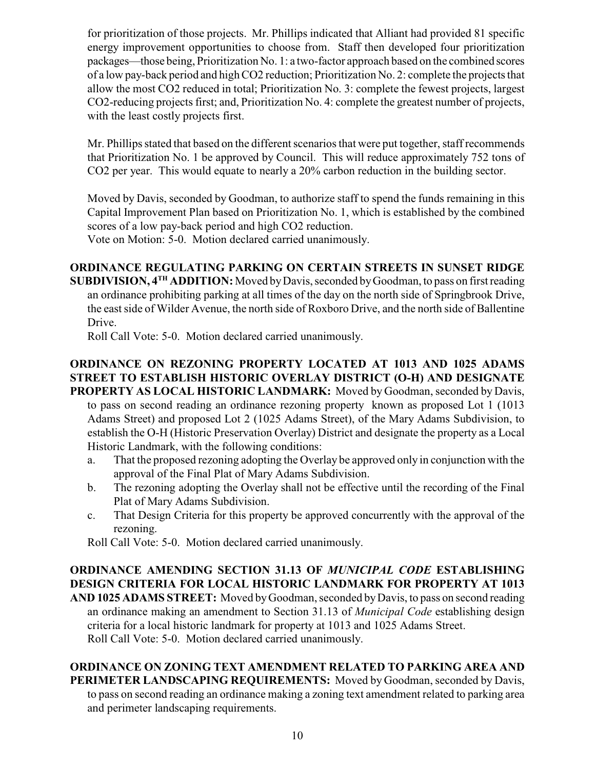for prioritization of those projects. Mr. Phillips indicated that Alliant had provided 81 specific energy improvement opportunities to choose from. Staff then developed four prioritization packages—those being, Prioritization No. 1: a two-factor approach based on the combined scores of a low pay-back period and high CO2 reduction; Prioritization No. 2: complete the projects that allow the most CO2 reduced in total; Prioritization No. 3: complete the fewest projects, largest CO2-reducing projects first; and, Prioritization No. 4: complete the greatest number of projects, with the least costly projects first.

Mr. Phillips stated that based on the different scenarios that were put together, staff recommends that Prioritization No. 1 be approved by Council. This will reduce approximately 752 tons of CO2 per year. This would equate to nearly a 20% carbon reduction in the building sector.

Moved by Davis, seconded by Goodman, to authorize staff to spend the funds remaining in this Capital Improvement Plan based on Prioritization No. 1, which is established by the combined scores of a low pay-back period and high CO2 reduction.

Vote on Motion: 5-0. Motion declared carried unanimously.

## **ORDINANCE REGULATING PARKING ON CERTAIN STREETS IN SUNSET RIDGE**

**SUBDIVISION, 4<sup>TH</sup> ADDITION:** Moved by Davis, seconded by Goodman, to pass on first reading an ordinance prohibiting parking at all times of the day on the north side of Springbrook Drive, the east side of Wilder Avenue, the north side of Roxboro Drive, and the north side of Ballentine Drive.

Roll Call Vote: 5-0. Motion declared carried unanimously.

#### **ORDINANCE ON REZONING PROPERTY LOCATED AT 1013 AND 1025 ADAMS STREET TO ESTABLISH HISTORIC OVERLAY DISTRICT (O-H) AND DESIGNATE PROPERTY AS LOCAL HISTORIC LANDMARK:** Moved by Goodman, seconded by Davis,

to pass on second reading an ordinance rezoning property known as proposed Lot 1 (1013 Adams Street) and proposed Lot 2 (1025 Adams Street), of the Mary Adams Subdivision, to establish the O-H (Historic Preservation Overlay) District and designate the property as a Local Historic Landmark, with the following conditions:

- a. That the proposed rezoning adopting the Overlay be approved only in conjunction with the approval of the Final Plat of Mary Adams Subdivision.
- b. The rezoning adopting the Overlay shall not be effective until the recording of the Final Plat of Mary Adams Subdivision.
- c. That Design Criteria for this property be approved concurrently with the approval of the rezoning.

Roll Call Vote: 5-0. Motion declared carried unanimously.

#### **ORDINANCE AMENDING SECTION 31.13 OF** *MUNICIPAL CODE* **ESTABLISHING DESIGN CRITERIA FOR LOCAL HISTORIC LANDMARK FOR PROPERTY AT 1013 AND 1025 ADAMS STREET:** Moved by Goodman, seconded by Davis, to pass on second reading an ordinance making an amendment to Section 31.13 of *Municipal Code* establishing design criteria for a local historic landmark for property at 1013 and 1025 Adams Street. Roll Call Vote: 5-0. Motion declared carried unanimously.

# **ORDINANCE ON ZONING TEXT AMENDMENT RELATED TO PARKING AREA AND PERIMETER LANDSCAPING REQUIREMENTS:** Moved by Goodman, seconded by Davis,

to pass on second reading an ordinance making a zoning text amendment related to parking area and perimeter landscaping requirements.